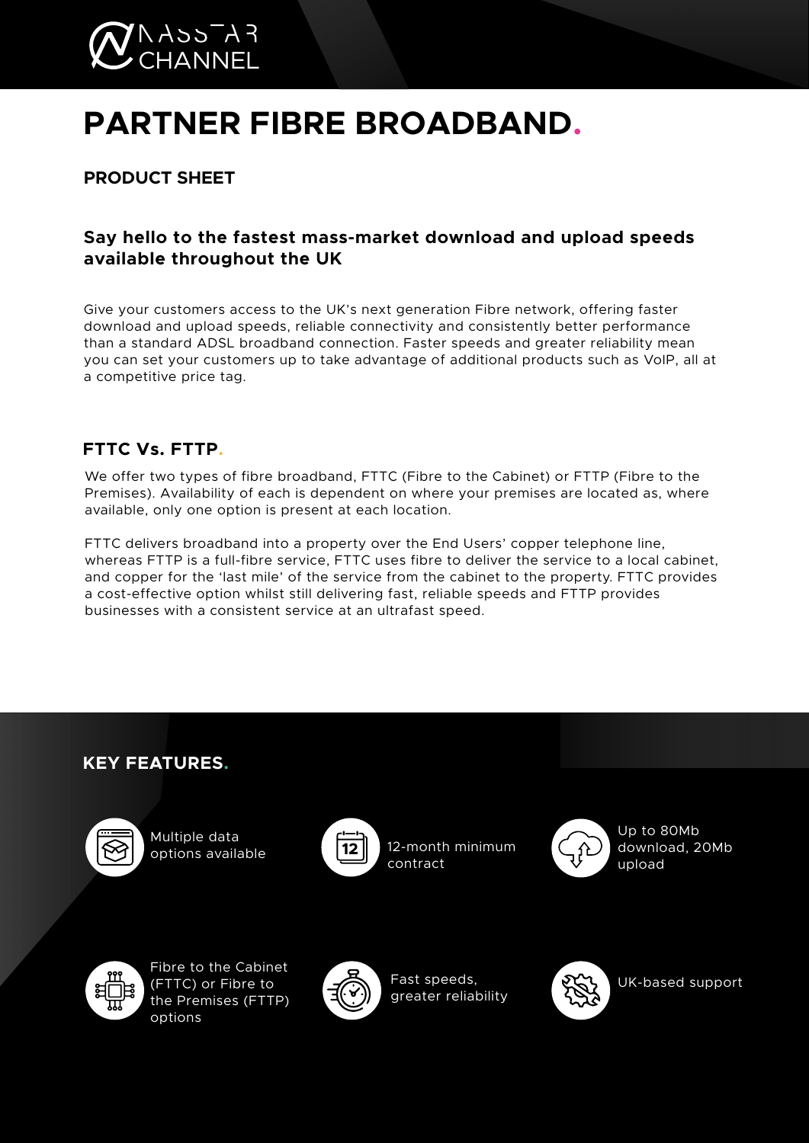

# **PARTNER FIBRE BROADBAND.**

**PRODUCT SHEET**

## **Say hello to the fastest mass-market download and upload speeds available throughout the UK**

Give your customers access to the UK's next generation Fibre network, offering faster download and upload speeds, reliable connectivity and consistently better performance than a standard ADSL broadband connection. Faster speeds and greater reliability mean you can set your customers up to take advantage of additional products such as VoIP, all at a competitive price tag.

## **FTTC Vs. FTTP.**

We offer two types of fibre broadband, FTTC (Fibre to the Cabinet) or FTTP (Fibre to the Premises). Availability of each is dependent on where your premises are located as, where available, only one option is present at each location.

FTTC delivers broadband into a property over the End Users' copper telephone line, whereas FTTP is a full-fibre service, FTTC uses fibre to deliver the service to a local cabinet, and copper for the 'last mile' of the service from the cabinet to the property. FTTC provides a cost-effective option whilst still delivering fast, reliable speeds and FTTP provides businesses with a consistent service at an ultrafast speed.

# **KEY FEATURES.**



Multiple data options available **12** 12-month minimum



contract



Up to 80Mb download, 20Mb upload



Fibre to the Cabinet (FTTC) or Fibre to the Premises (FTTP) options



Fast speeds, greater reliability



UK-based support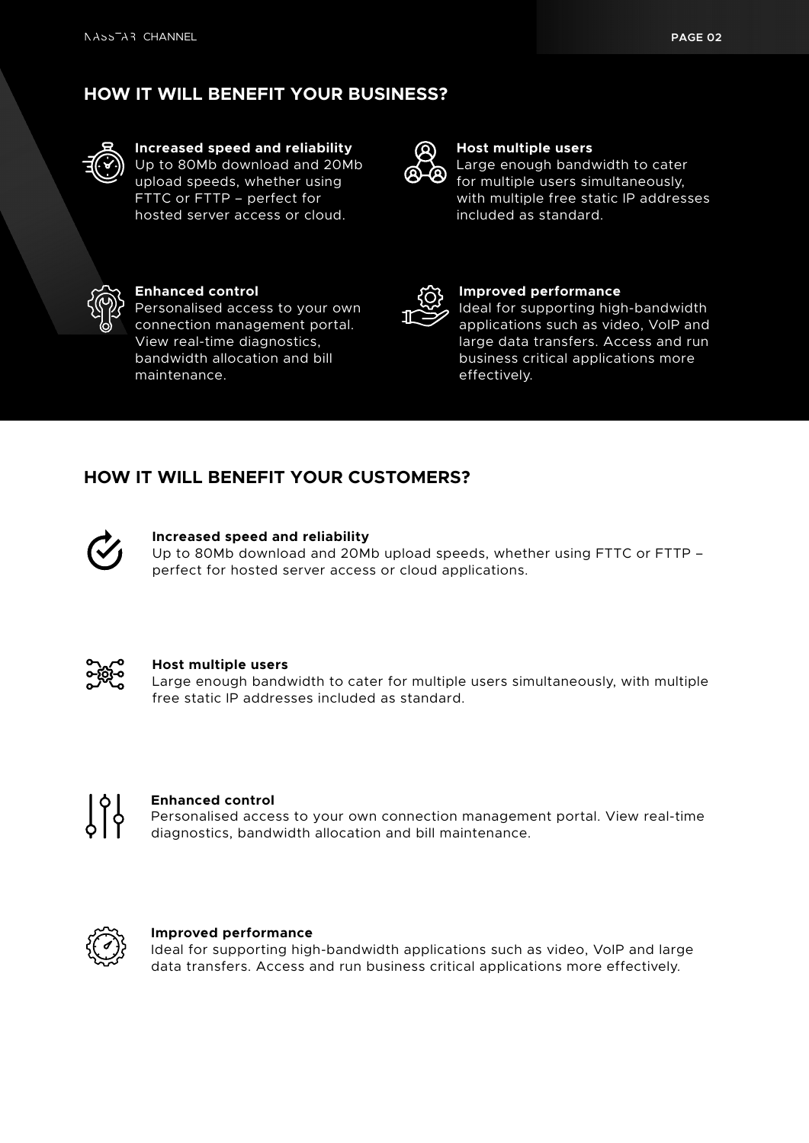# **HOW IT WILL BENEFIT YOUR BUSINESS?**



#### **Increased speed and reliability** Up to 80Mb download and 20Mb upload speeds, whether using

FTTC or FTTP – perfect for hosted server access or cloud.



#### **Host multiple users** Large enough bandwidth to cater

for multiple users simultaneously, with multiple free static IP addresses included as standard.



### **Enhanced control**

Personalised access to your own connection management portal. View real-time diagnostics, bandwidth allocation and bill maintenance.



#### **Improved performance**

Ideal for supporting high-bandwidth applications such as video, VoIP and large data transfers. Access and run business critical applications more effectively.

## **HOW IT WILL BENEFIT YOUR CUSTOMERS?**



#### **Increased speed and reliability**

Up to 80Mb download and 20Mb upload speeds, whether using FTTC or FTTP – perfect for hosted server access or cloud applications.



#### **Host multiple users**

Large enough bandwidth to cater for multiple users simultaneously, with multiple free static IP addresses included as standard.



#### **Enhanced control**

Personalised access to your own connection management portal. View real-time diagnostics, bandwidth allocation and bill maintenance.



#### **Improved performance**

Ideal for supporting high-bandwidth applications such as video, VoIP and large data transfers. Access and run business critical applications more effectively.